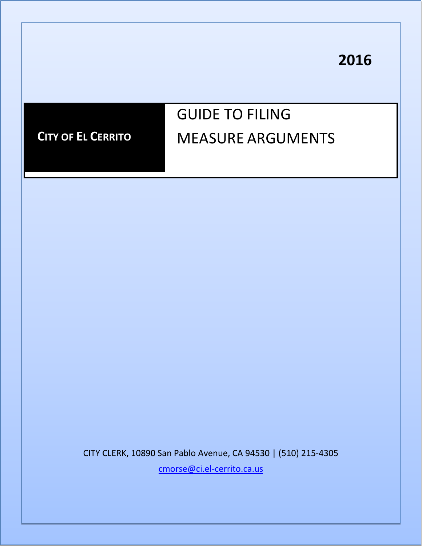**2016**



CITY CLERK, 10890 San Pablo Avenue, CA 94530 | (510) 215-4305

[cmorse@ci.el-cerrito.ca.us](mailto:cmorse@ci.el-cerrito.ca.us)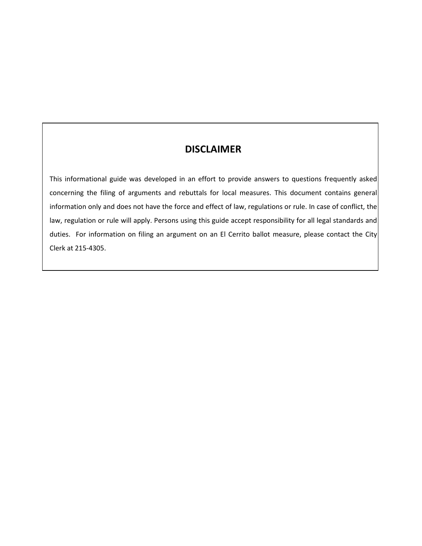## **DISCLAIMER**

This informational guide was developed in an effort to provide answers to questions frequently asked concerning the filing of arguments and rebuttals for local measures. This document contains general information only and does not have the force and effect of law, regulations or rule. In case of conflict, the law, regulation or rule will apply. Persons using this guide accept responsibility for all legal standards and duties. For information on filing an argument on an El Cerrito ballot measure, please contact the City Clerk at 215-4305.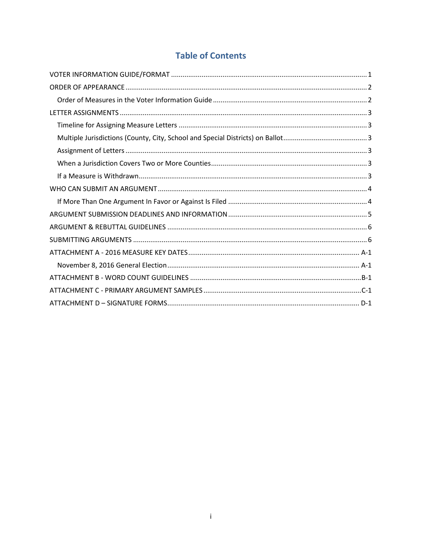## **Table of Contents**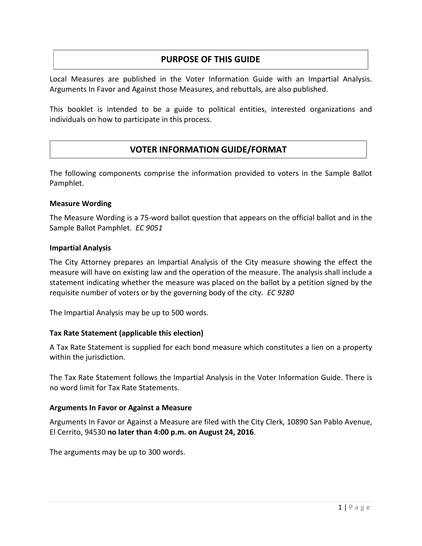## **PURPOSE OF THIS GUIDE**

Local Measures are published in the Voter Information Guide with an Impartial Analysis. Arguments In Favor and Against those Measures, and rebuttals, are also published.

This booklet is intended to be a guide to political entities, interested organizations and individuals on how to participate in this process.

## **VOTER INFORMATION GUIDE/FORMAT**

The following components comprise the information provided to voters in the Sample Ballot Pamphlet.

#### **Measure Wording**

The Measure Wording is a 75-word ballot question that appears on the official ballot and in the Sample Ballot Pamphlet. *EC 9051*

#### **Impartial Analysis**

The City Attorney prepares an Impartial Analysis of the City measure showing the effect the measure will have on existing law and the operation of the measure. The analysis shall include a statement indicating whether the measure was placed on the ballot by a petition signed by the requisite number of voters or by the governing body of the city. *EC 9280*

The Impartial Analysis may be up to 500 words.

#### **Tax Rate Statement (applicable this election)**

A Tax Rate Statement is supplied for each bond measure which constitutes a lien on a property within the jurisdiction.

The Tax Rate Statement follows the Impartial Analysis in the Voter Information Guide. There is no word limit for Tax Rate Statements.

#### **Arguments In Favor or Against a Measure**

Arguments In Favor or Against a Measure are filed with the City Clerk, 10890 San Pablo Avenue, El Cerrito, 94530 **no later than 4:00 p.m. on August 24, 2016**.

The arguments may be up to 300 words.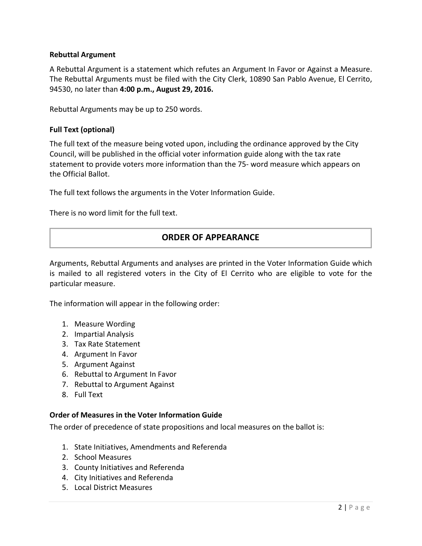#### **Rebuttal Argument**

A Rebuttal Argument is a statement which refutes an Argument In Favor or Against a Measure. The Rebuttal Arguments must be filed with the City Clerk, 10890 San Pablo Avenue, El Cerrito, 94530, no later than **4:00 p.m., August 29, 2016.**

Rebuttal Arguments may be up to 250 words.

#### **Full Text (optional)**

The full text of the measure being voted upon, including the ordinance approved by the City Council, will be published in the official voter information guide along with the tax rate statement to provide voters more information than the 75- word measure which appears on the Official Ballot.

The full text follows the arguments in the Voter Information Guide.

There is no word limit for the full text.

## **ORDER OF APPEARANCE**

Arguments, Rebuttal Arguments and analyses are printed in the Voter Information Guide which is mailed to all registered voters in the City of El Cerrito who are eligible to vote for the particular measure.

The information will appear in the following order:

- 1. Measure Wording
- 2. Impartial Analysis
- 3. Tax Rate Statement
- 4. Argument In Favor
- 5. Argument Against
- 6. Rebuttal to Argument In Favor
- 7. Rebuttal to Argument Against
- 8. Full Text

#### <span id="page-4-0"></span>**Order of Measures in the Voter Information Guide**

The order of precedence of state propositions and local measures on the ballot is:

- 1. State Initiatives, Amendments and Referenda
- 2. School Measures
- 3. County Initiatives and Referenda
- 4. City Initiatives and Referenda
- 5. Local District Measures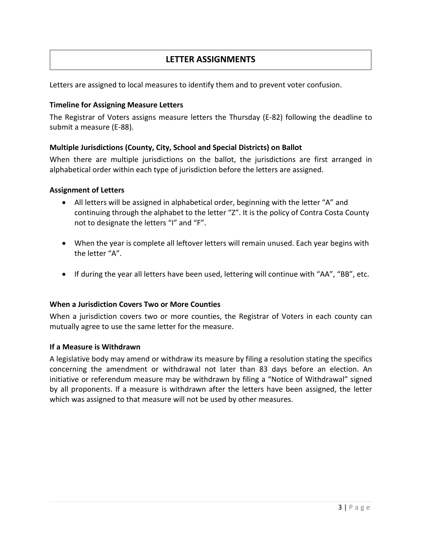## **LETTER ASSIGNMENTS**

Letters are assigned to local measures to identify them and to prevent voter confusion.

#### <span id="page-5-0"></span>**Timeline for Assigning Measure Letters**

The Registrar of Voters assigns measure letters the Thursday (E-82) following the deadline to submit a measure (E-88).

#### <span id="page-5-1"></span>**Multiple Jurisdictions (County, City, School and Special Districts) on Ballot**

When there are multiple jurisdictions on the ballot, the jurisdictions are first arranged in alphabetical order within each type of jurisdiction before the letters are assigned.

#### <span id="page-5-2"></span>**Assignment of Letters**

- All letters will be assigned in alphabetical order, beginning with the letter "A" and continuing through the alphabet to the letter "Z". It is the policy of Contra Costa County not to designate the letters "I" and "F".
- When the year is complete all leftover letters will remain unused. Each year begins with the letter "A".
- If during the year all letters have been used, lettering will continue with "AA", "BB", etc.

#### <span id="page-5-3"></span>**When a Jurisdiction Covers Two or More Counties**

When a jurisdiction covers two or more counties, the Registrar of Voters in each county can mutually agree to use the same letter for the measure.

#### <span id="page-5-4"></span>**If a Measure is Withdrawn**

A legislative body may amend or withdraw its measure by filing a resolution stating the specifics concerning the amendment or withdrawal not later than 83 days before an election. An initiative or referendum measure may be withdrawn by filing a "Notice of Withdrawal" signed by all proponents. If a measure is withdrawn after the letters have been assigned, the letter which was assigned to that measure will not be used by other measures.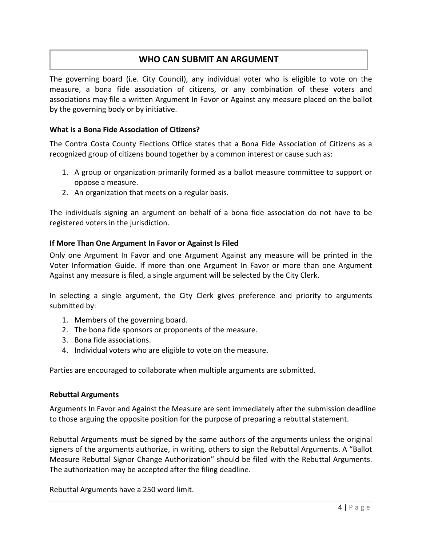## **WHO CAN SUBMIT AN ARGUMENT**

The governing board (i.e. City Council), any individual voter who is eligible to vote on the measure, a bona fide association of citizens, or any combination of these voters and associations may file a written Argument In Favor or Against any measure placed on the ballot by the governing body or by initiative.

#### **What is a Bona Fide Association of Citizens?**

The Contra Costa County Elections Office states that a Bona Fide Association of Citizens as a recognized group of citizens bound together by a common interest or cause such as:

- 1. A group or organization primarily formed as a ballot measure committee to support or oppose a measure.
- 2. An organization that meets on a regular basis.

The individuals signing an argument on behalf of a bona fide association do not have to be registered voters in the jurisdiction.

#### <span id="page-6-0"></span>**If More Than One Argument In Favor or Against Is Filed**

Only one Argument In Favor and one Argument Against any measure will be printed in the Voter Information Guide. If more than one Argument In Favor or more than one Argument Against any measure is filed, a single argument will be selected by the City Clerk.

In selecting a single argument, the City Clerk gives preference and priority to arguments submitted by:

- 1. Members of the governing board.
- 2. The bona fide sponsors or proponents of the measure.
- 3. Bona fide associations.
- 4. Individual voters who are eligible to vote on the measure.

Parties are encouraged to collaborate when multiple arguments are submitted.

#### **Rebuttal Arguments**

Arguments In Favor and Against the Measure are sent immediately after the submission deadline to those arguing the opposite position for the purpose of preparing a rebuttal statement.

Rebuttal Arguments must be signed by the same authors of the arguments unless the original signers of the arguments authorize, in writing, others to sign the Rebuttal Arguments. A "Ballot Measure Rebuttal Signor Change Authorization" should be filed with the Rebuttal Arguments. The authorization may be accepted after the filing deadline.

Rebuttal Arguments have a 250 word limit.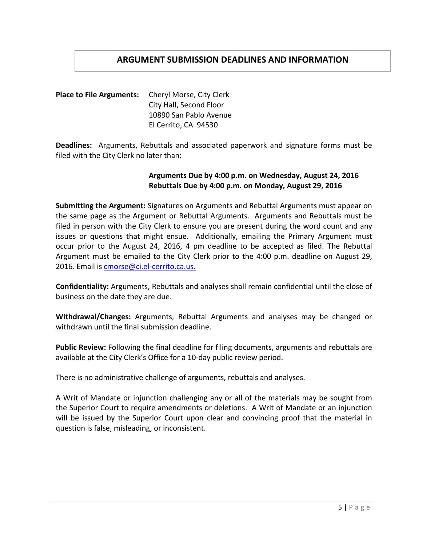## **ARGUMENT SUBMISSION DEADLINES AND INFORMATION**

**Place to File Arguments:** Cheryl Morse, City Clerk City Hall, Second Floor 10890 San Pablo Avenue El Cerrito, CA 94530

**Deadlines:** Arguments, Rebuttals and associated paperwork and signature forms must be filed with the City Clerk no later than:

#### **Arguments Due by 4:00 p.m. on Wednesday, August 24, 2016 Rebuttals Due by 4:00 p.m. on Monday, August 29, 2016**

**Submitting the Argument:** Signatures on Arguments and Rebuttal Arguments must appear on the same page as the Argument or Rebuttal Arguments. Arguments and Rebuttals must be filed in person with the City Clerk to ensure you are present during the word count and any issues or questions that might ensue. Additionally, emailing the Primary Argument must occur prior to the August 24, 2016, 4 pm deadline to be accepted as filed. The Rebuttal Argument must be emailed to the City Clerk prior to the 4:00 p.m. deadline on August 29, 2016. Email i[s cmorse@ci.el-cerrito.ca.us.](mailto:cmorse@ci.el-cerrito.ca.us)

**Confidentiality:** Arguments, Rebuttals and analyses shall remain confidential until the close of business on the date they are due.

**Withdrawal/Changes:** Arguments, Rebuttal Arguments and analyses may be changed or withdrawn until the final submission deadline.

**Public Review:** Following the final deadline for filing documents, arguments and rebuttals are available at the City Clerk's Office for a 10-day public review period.

There is no administrative challenge of arguments, rebuttals and analyses.

A Writ of Mandate or injunction challenging any or all of the materials may be sought from the Superior Court to require amendments or deletions. A Writ of Mandate or an injunction will be issued by the Superior Court upon clear and convincing proof that the material in question is false, misleading, or inconsistent.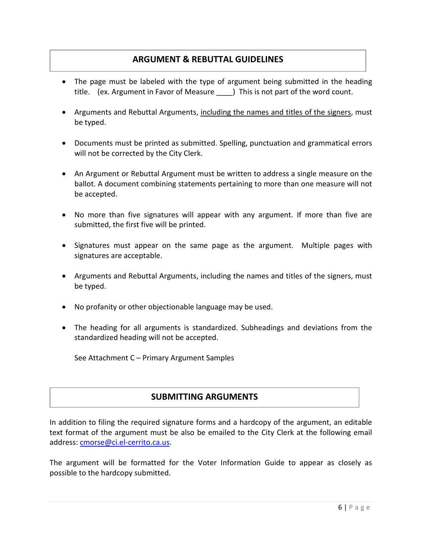## **ARGUMENT & REBUTTAL GUIDELINES**

- The page must be labeled with the type of argument being submitted in the heading title. (ex. Argument in Favor of Measure \_\_\_\_) This is not part of the word count.
- Arguments and Rebuttal Arguments, including the names and titles of the signers, must be typed.
- Documents must be printed as submitted. Spelling, punctuation and grammatical errors will not be corrected by the City Clerk.
- An Argument or Rebuttal Argument must be written to address a single measure on the ballot. A document combining statements pertaining to more than one measure will not be accepted.
- No more than five signatures will appear with any argument. If more than five are submitted, the first five will be printed.
- Signatures must appear on the same page as the argument. Multiple pages with signatures are acceptable.
- Arguments and Rebuttal Arguments, including the names and titles of the signers, must be typed.
- No profanity or other objectionable language may be used.
- The heading for all arguments is standardized. Subheadings and deviations from the standardized heading will not be accepted.

See Attachment C – Primary Argument Samples

## **SUBMITTING ARGUMENTS**

In addition to filing the required signature forms and a hardcopy of the argument, an editable text format of the argument must be also be emailed to the City Clerk at the following email address: [cmorse@ci.el-cerrito.ca.us.](mailto:cmorse@ci.el-cerrito.ca.us)

The argument will be formatted for the Voter Information Guide to appear as closely as possible to the hardcopy submitted.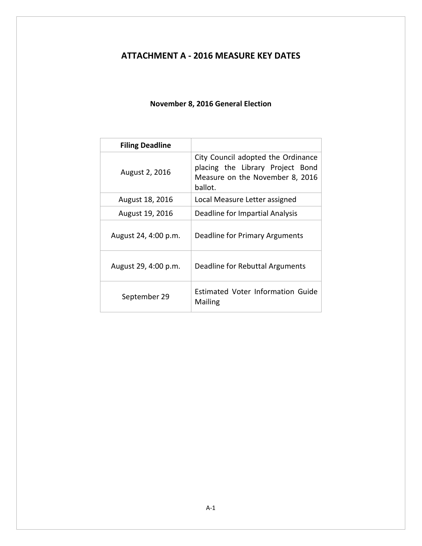## <span id="page-9-0"></span>**ATTACHMENT A - 2016 MEASURE KEY DATES**

### **November 8, 2016 General Election**

<span id="page-9-1"></span>

| <b>Filing Deadline</b> |                                                                                                                      |
|------------------------|----------------------------------------------------------------------------------------------------------------------|
| August 2, 2016         | City Council adopted the Ordinance<br>placing the Library Project Bond<br>Measure on the November 8, 2016<br>ballot. |
| August 18, 2016        | Local Measure Letter assigned                                                                                        |
| August 19, 2016        | Deadline for Impartial Analysis                                                                                      |
| August 24, 4:00 p.m.   | Deadline for Primary Arguments                                                                                       |
| August 29, 4:00 p.m.   | Deadline for Rebuttal Arguments                                                                                      |
| September 29           | Estimated Voter Information Guide<br>Mailing                                                                         |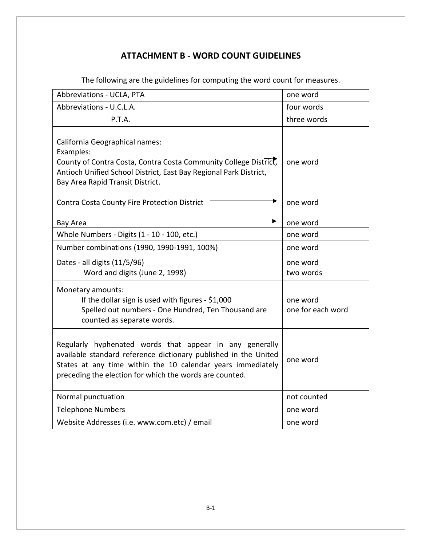## **ATTACHMENT B - WORD COUNT GUIDELINES**

<span id="page-10-0"></span>

| Abbreviations - UCLA, PTA                                                                                                                                                                                                                            | one word                      |
|------------------------------------------------------------------------------------------------------------------------------------------------------------------------------------------------------------------------------------------------------|-------------------------------|
| Abbreviations - U.C.L.A.                                                                                                                                                                                                                             | four words                    |
| P.T.A.                                                                                                                                                                                                                                               | three words                   |
| California Geographical names:<br>Examples:<br>County of Contra Costa, Contra Costa Community College District,<br>Antioch Unified School District, East Bay Regional Park District,<br>Bay Area Rapid Transit District.                             | one word                      |
| Contra Costa County Fire Protection District                                                                                                                                                                                                         | one word                      |
| Bay Area                                                                                                                                                                                                                                             | one word                      |
| Whole Numbers - Digits (1 - 10 - 100, etc.)                                                                                                                                                                                                          | one word                      |
| Number combinations (1990, 1990-1991, 100%)                                                                                                                                                                                                          | one word                      |
| Dates - all digits (11/5/96)<br>Word and digits (June 2, 1998)                                                                                                                                                                                       | one word<br>two words         |
| Monetary amounts:<br>If the dollar sign is used with figures - \$1,000<br>Spelled out numbers - One Hundred, Ten Thousand are<br>counted as separate words.                                                                                          | one word<br>one for each word |
| Regularly hyphenated words that appear in any generally<br>available standard reference dictionary published in the United<br>States at any time within the 10 calendar years immediately<br>preceding the election for which the words are counted. | one word                      |
| Normal punctuation                                                                                                                                                                                                                                   | not counted                   |
| <b>Telephone Numbers</b>                                                                                                                                                                                                                             | one word                      |
| Website Addresses (i.e. www.com.etc) / email                                                                                                                                                                                                         | one word                      |

The following are the guidelines for computing the word count for measures.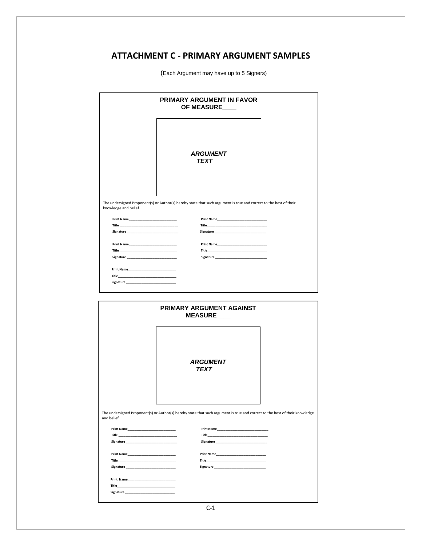## **ATTACHMENT C - PRIMARY ARGUMENT SAMPLES**

<span id="page-11-0"></span>

|                                                                                                                                 | PRIMARY ARGUMENT IN FAVOR<br>OF MEASURE                                                                                      |  |
|---------------------------------------------------------------------------------------------------------------------------------|------------------------------------------------------------------------------------------------------------------------------|--|
|                                                                                                                                 | <b>ARGUMENT</b><br><b>TEXT</b>                                                                                               |  |
|                                                                                                                                 | The undersigned Proponent(s) or Author(s) hereby state that such argument is true and correct to the best of their           |  |
| knowledge and belief.                                                                                                           |                                                                                                                              |  |
|                                                                                                                                 | Print Name                                                                                                                   |  |
|                                                                                                                                 |                                                                                                                              |  |
|                                                                                                                                 |                                                                                                                              |  |
|                                                                                                                                 |                                                                                                                              |  |
|                                                                                                                                 |                                                                                                                              |  |
|                                                                                                                                 |                                                                                                                              |  |
|                                                                                                                                 |                                                                                                                              |  |
| Title______                                                                                                                     | the company of the company of the                                                                                            |  |
|                                                                                                                                 |                                                                                                                              |  |
|                                                                                                                                 |                                                                                                                              |  |
|                                                                                                                                 | PRIMARY ARGUMENT AGAINST<br><b>MEASURE</b>                                                                                   |  |
|                                                                                                                                 |                                                                                                                              |  |
|                                                                                                                                 | <b>ARGUMENT</b><br>TEXT                                                                                                      |  |
| and belief.                                                                                                                     | The undersigned Proponent(s) or Author(s) hereby state that such argument is true and correct to the best of their knowledge |  |
| <b>Print Name</b>                                                                                                               | Print Name                                                                                                                   |  |
| Title_<br><u> 1989 - Johann Harry Harry Harry Harry Harry Harry Harry Harry Harry Harry Harry Harry Harry Harry Harry Harry</u> | Title                                                                                                                        |  |
|                                                                                                                                 |                                                                                                                              |  |
|                                                                                                                                 |                                                                                                                              |  |
| Title_                                                                                                                          | Title                                                                                                                        |  |

(Each Argument may have up to 5 Signers)

 ${\Large Signature\_{} \underline{\hspace{1.5cm}}}.$ 

 **Print Name\_\_\_\_\_\_\_\_\_\_\_\_\_\_\_\_\_\_\_\_\_\_\_\_\_\_\_\_ Title\_\_\_\_\_\_\_\_\_\_\_\_\_\_\_\_\_\_\_\_\_\_\_\_\_\_\_\_\_\_\_\_\_\_ Signature \_\_\_\_\_\_\_\_\_\_\_\_\_\_\_\_\_\_\_\_\_\_\_\_\_\_\_\_\_**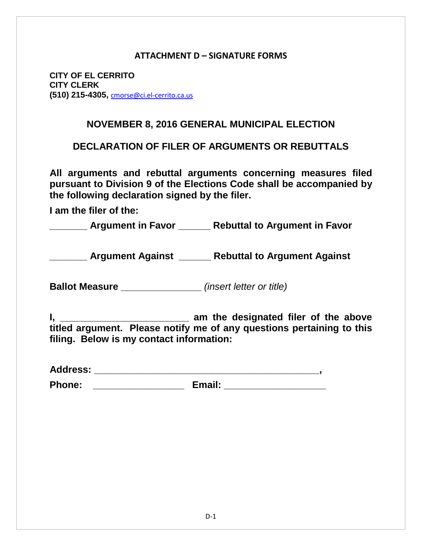### **ATTACHMENT D – SIGNATURE FORMS**

<span id="page-12-0"></span>**CITY OF EL CERRITO CITY CLERK (510) 215-4305,** [cmorse@ci.el-cerrito.ca.us](mailto:cmorse@ci.el-cerrito.ca.us)

## **NOVEMBER 8, 2016 GENERAL MUNICIPAL ELECTION**

**DECLARATION OF FILER OF ARGUMENTS OR REBUTTALS**

**All arguments and rebuttal arguments concerning measures filed pursuant to Division 9 of the Elections Code shall be accompanied by the following declaration signed by the filer.**

**I am the filer of the:**

**\_\_\_\_\_\_\_ Argument in Favor \_\_\_\_\_\_ Rebuttal to Argument in Favor**

**\_\_\_\_\_\_\_ Argument Against \_\_\_\_\_\_ Rebuttal to Argument Against**

**Ballot Measure \_\_\_\_\_\_\_\_\_\_\_\_\_\_\_** *(insert letter or title)*

**I, \_\_\_\_\_\_\_\_\_\_\_\_\_\_\_\_\_\_\_\_\_\_\_\_ am the designated filer of the above titled argument. Please notify me of any questions pertaining to this filing. Below is my contact information:**

| <b>Address:</b> |  |  |
|-----------------|--|--|
|                 |  |  |

**Phone: \_\_\_\_\_\_\_\_\_\_\_\_\_\_\_\_\_ Email: \_\_\_\_\_\_\_\_\_\_\_\_\_\_\_\_\_\_\_**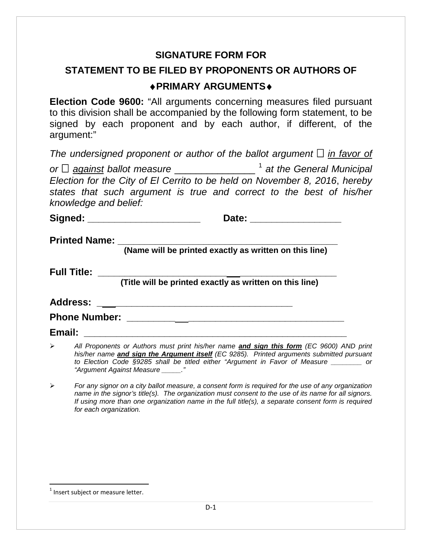## **SIGNATURE FORM FOR**

# **STATEMENT TO BE FILED BY PROPONENTS OR AUTHORS OF**  ♦**PRIMARY ARGUMENTS**♦

**Election Code 9600:** "All arguments concerning measures filed pursuant to this division shall be accompanied by the following form statement, to be signed by each proponent and by each author, if different, of the argument:"

*The undersigned proponent or author of the ballot argument*  $\Box$  *in favor of or*  $□$  *<u>against</u> ballot measure \_\_\_\_\_\_\_\_\_\_\_\_\_\_<sup>[1](#page-13-0)</sup> at the General Municipal Election for the City of El Cerrito to be held on November 8, 2016*, *hereby states that such argument is true and correct to the best of his/her knowledge and belief:*

**Signed: \_\_\_\_\_\_\_\_\_\_\_\_\_\_\_\_\_\_\_\_\_ Date: \_\_\_\_\_\_\_\_\_\_\_\_\_\_\_\_\_**

**Printed Name:** 

**(Name will be printed exactly as written on this line)**

**Full Title: \_\_\_\_\_\_\_\_\_\_\_\_\_\_\_\_\_\_\_\_\_\_\_\_ \_\_\_\_\_\_\_\_\_\_\_\_\_\_\_\_\_\_**

 **(Title will be printed exactly as written on this line)**

**Address: \_ \_\_\_\_\_\_\_\_\_\_\_\_\_\_\_\_\_\_\_\_\_\_\_\_\_\_\_\_\_\_\_\_\_**

**Phone Number:**  $\blacksquare$ 

**Email: \_\_\_\_\_\_\_\_\_\_\_\_\_\_\_\_\_\_\_\_\_\_\_\_\_\_\_\_\_\_\_\_\_\_\_\_\_\_\_\_\_\_\_\_\_\_\_\_\_**

- *All Proponents or Authors must print his/her name and sign this form (EC 9600) AND print his/her name and sign the Argument itself (EC 9285). Printed arguments submitted pursuant to Election Code §9285 shall be titled either "Argument in Favor of Measure \_\_\_\_\_\_\_\_ or "Argument Against Measure \_\_\_\_\_."*
- *For any signor on a city ballot measure, a consent form is required for the use of any organization name in the signor's title(s). The organization must consent to the use of its name for all signors. If using more than one organization name in the full title(s), a separate consent form is required for each organization.*

<span id="page-13-0"></span> $1$  Insert subject or measure letter.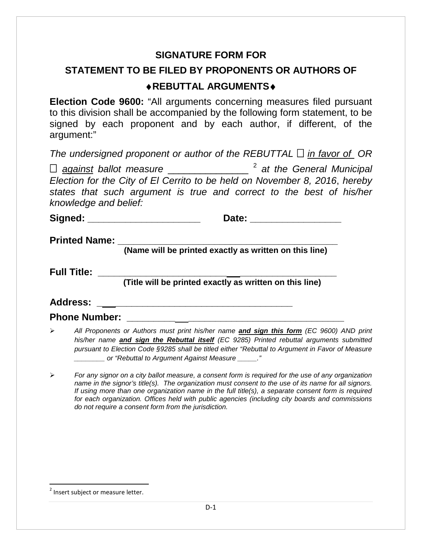## **SIGNATURE FORM FOR**

# **STATEMENT TO BE FILED BY PROPONENTS OR AUTHORS OF**  ♦**REBUTTAL ARGUMENTS**♦

**Election Code 9600:** "All arguments concerning measures filed pursuant to this division shall be accompanied by the following form statement, to be signed by each proponent and by each author, if different, of the argument:"

| The undersigned proponent or author of the REBUTTAL $\Box$ in favor of OR                              |                                       |
|--------------------------------------------------------------------------------------------------------|---------------------------------------|
| $\Box$ against ballot measure                                                                          | <sup>2</sup> at the General Municipal |
| $F_{\text{location}}$ for the City of $F_{\text{in}}$ Corrito to be hold on Nevember $9.2016$ berefore |                                       |

*Election for the City of El Cerrito to be held on November 8, 2016*, *hereby states that such argument is true and correct to the best of his/her knowledge and belief:*

**Signed: \_\_\_\_\_\_\_\_\_\_\_\_\_\_\_\_\_\_\_\_\_ Date: \_\_\_\_\_\_\_\_\_\_\_\_\_\_\_\_\_**

**Printed Name:** 

**(Name will be printed exactly as written on this line)**

**Full Title: \_\_\_\_\_\_\_\_\_\_\_\_\_\_\_\_\_\_\_\_\_\_\_\_ \_\_\_\_\_\_\_\_\_\_\_\_\_\_\_\_\_\_**

 **(Title will be printed exactly as written on this line)**

**Address: \_ \_\_\_\_\_\_\_\_\_\_\_\_\_\_\_\_\_\_\_\_\_\_\_\_\_\_\_\_\_\_\_\_\_**

**Phone Number:** 

- *All Proponents or Authors must print his/her name and sign this form (EC 9600) AND print his/her name and sign the Rebuttal itself (EC 9285) Printed rebuttal arguments submitted pursuant to Election Code §9285 shall be titled either "Rebuttal to Argument in Favor of Measure \_\_\_\_\_\_\_\_ or "Rebuttal to Argument Against Measure \_\_\_\_\_."*
- *For any signor on a city ballot measure, a consent form is required for the use of any organization name in the signor's title(s). The organization must consent to the use of its name for all signors. If using more than one organization name in the full title(s), a separate consent form is required for each organization. Offices held with public agencies (including city boards and commissions do not require a consent form from the jurisdiction.*

<span id="page-14-0"></span><sup>&</sup>lt;sup>2</sup> Insert subject or measure letter.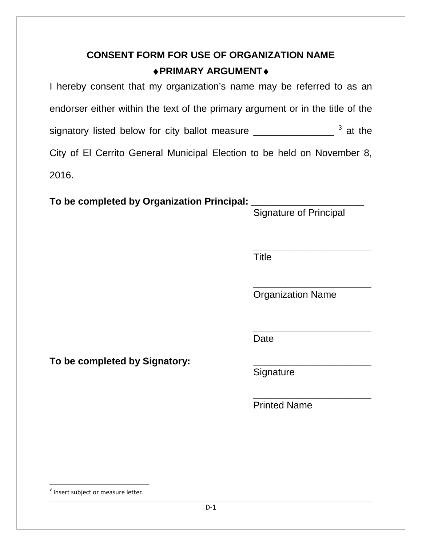# **CONSENT FORM FOR USE OF ORGANIZATION NAME** ♦**PRIMARY ARGUMENT**♦

I hereby consent that my organization's name may be referred to as an endorser either within the text of the primary argument or in the title of the signatory listed below for city ballot measure \_\_\_\_\_\_\_\_\_\_\_\_\_\_\_\_\_ [3](#page-15-0) at the City of El Cerrito General Municipal Election to be held on November 8, 2016.

# **To be completed by Organization Principal: \_\_\_\_\_\_\_\_\_\_\_\_\_\_\_\_\_\_\_\_\_**

Signature of Principal

 **\_\_\_\_\_\_\_\_\_\_\_\_\_\_\_\_\_\_\_\_\_\_** Title

> **\_\_\_\_\_\_\_\_\_\_\_\_\_\_\_\_\_\_\_\_\_\_** Organization Name

> **\_\_\_\_\_\_\_\_\_\_\_\_\_\_\_\_\_\_\_\_\_\_** Date

To be completed by Signatory:

Signature

**\_\_\_\_\_\_\_\_\_\_\_\_\_\_\_\_\_\_\_\_\_\_** Printed Name

<span id="page-15-0"></span><sup>&</sup>lt;sup>3</sup> Insert subject or measure letter.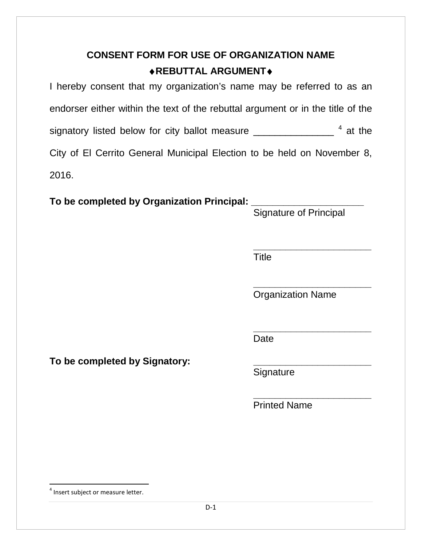# **CONSENT FORM FOR USE OF ORGANIZATION NAME** ♦**REBUTTAL ARGUMENT**♦

I hereby consent that my organization's name may be referred to as an endorser either within the text of the rebuttal argument or in the title of the signatory listed below for city ballot measure \_\_\_\_\_\_\_\_\_\_\_\_\_\_\_ <sup>[4](#page-16-0)</sup> at the City of El Cerrito General Municipal Election to be held on November 8, 2016.

# **To be completed by Organization Principal: \_\_\_\_\_\_\_\_\_\_\_\_\_\_\_\_\_\_\_\_\_**

Signature of Principal

 **\_\_\_\_\_\_\_\_\_\_\_\_\_\_\_\_\_\_\_\_\_\_** Title

> **\_\_\_\_\_\_\_\_\_\_\_\_\_\_\_\_\_\_\_\_\_\_** Organization Name

> **\_\_\_\_\_\_\_\_\_\_\_\_\_\_\_\_\_\_\_\_\_\_** Date

To be completed by Signatory:

Signature

**\_\_\_\_\_\_\_\_\_\_\_\_\_\_\_\_\_\_\_\_\_\_** Printed Name

<span id="page-16-0"></span><sup>&</sup>lt;sup>4</sup> Insert subject or measure letter.